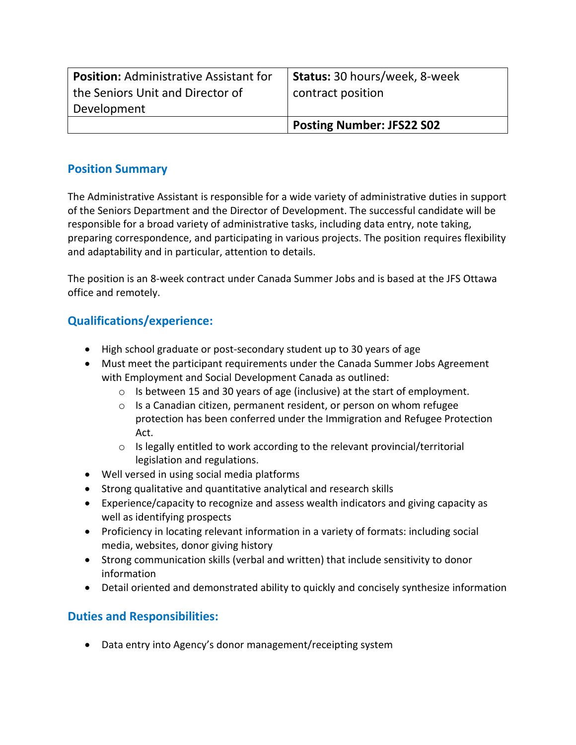| <b>Position: Administrative Assistant for</b><br>the Seniors Unit and Director of | Status: 30 hours/week, 8-week<br>contract position |
|-----------------------------------------------------------------------------------|----------------------------------------------------|
| Development                                                                       |                                                    |
|                                                                                   | <b>Posting Number: JFS22 S02</b>                   |

## **Position Summary**

The Administrative Assistant is responsible for a wide variety of administrative duties in support of the Seniors Department and the Director of Development. The successful candidate will be responsible for a broad variety of administrative tasks, including data entry, note taking, preparing correspondence, and participating in various projects. The position requires flexibility and adaptability and in particular, attention to details.

The position is an 8-week contract under Canada Summer Jobs and is based at the JFS Ottawa office and remotely.

## **Qualifications/experience:**

- High school graduate or post-secondary student up to 30 years of age
- Must meet the participant requirements under the Canada Summer Jobs Agreement with Employment and Social Development Canada as outlined:
	- o Is between 15 and 30 years of age (inclusive) at the start of employment.
	- o Is a Canadian citizen, permanent resident, or person on whom refugee protection has been conferred under the Immigration and Refugee Protection Act.
	- $\circ$  Is legally entitled to work according to the relevant provincial/territorial legislation and regulations.
- Well versed in using social media platforms
- Strong qualitative and quantitative analytical and research skills
- Experience/capacity to recognize and assess wealth indicators and giving capacity as well as identifying prospects
- Proficiency in locating relevant information in a variety of formats: including social media, websites, donor giving history
- Strong communication skills (verbal and written) that include sensitivity to donor information
- Detail oriented and demonstrated ability to quickly and concisely synthesize information

## **Duties and Responsibilities:**

• Data entry into Agency's donor management/receipting system